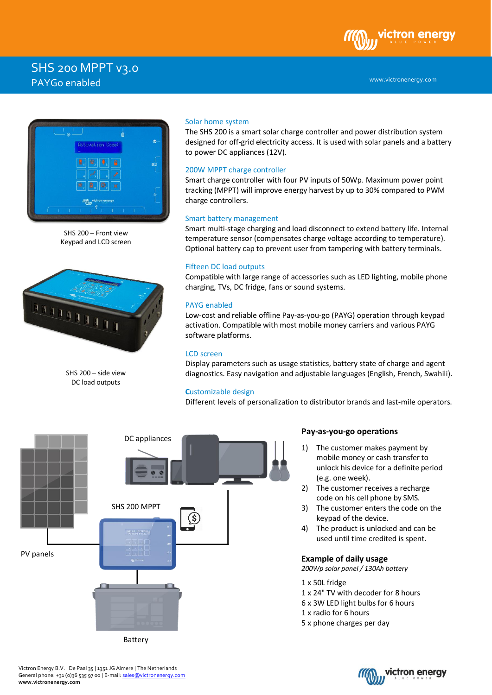# SHS 200 MPPT v3.0 PAYGo enabled



SHS 200 – Front view Keypad and LCD screen



SHS 200 – side view DC load outputs

## Solar home system

The SHS 200 is a smart solar charge controller and power distribution system designed for off-grid electricity access. It is used with solar panels and a battery to power DC appliances (12V).

## 200W MPPT charge controller

Smart charge controller with four PV inputs of 50Wp. Maximum power point tracking (MPPT) will improve energy harvest by up to 30% compared to PWM charge controllers.

## Smart battery management

Smart multi-stage charging and load disconnect to extend battery life. Internal temperature sensor (compensates charge voltage according to temperature). Optional battery cap to prevent user from tampering with battery terminals.

## Fifteen DC load outputs

Compatible with large range of accessories such as LED lighting, mobile phone charging, TVs, DC fridge, fans or sound systems.

# PAYG enabled

Low-cost and reliable offline Pay-as-you-go (PAYG) operation through keypad activation. Compatible with most mobile money carriers and various PAYG software platforms.

# LCD screen

Display parameters such as usage statistics, battery state of charge and agent diagnostics. Easy navigation and adjustable languages (English, French, Swahili).

# **C**ustomizable design

Different levels of personalization to distributor brands and last-mile operators.



# **Pay-as-you-go operations**

- 1) The customer makes payment by mobile money or cash transfer to unlock his device for a definite period (e.g. one week).
- 2) The customer receives a recharge code on his cell phone by SMS.
- 3) The customer enters the code on the keypad of the device.
- 4) The product is unlocked and can be used until time credited is spent.

# **Example of daily usage**

*200Wp solar panel / 130Ah battery*

- 1 x 50L fridge
- 1 x 24" TV with decoder for 8 hours
- 6 x 3W LED light bulbs for 6 hours
- 1 x radio for 6 hours
- 5 x phone charges per day